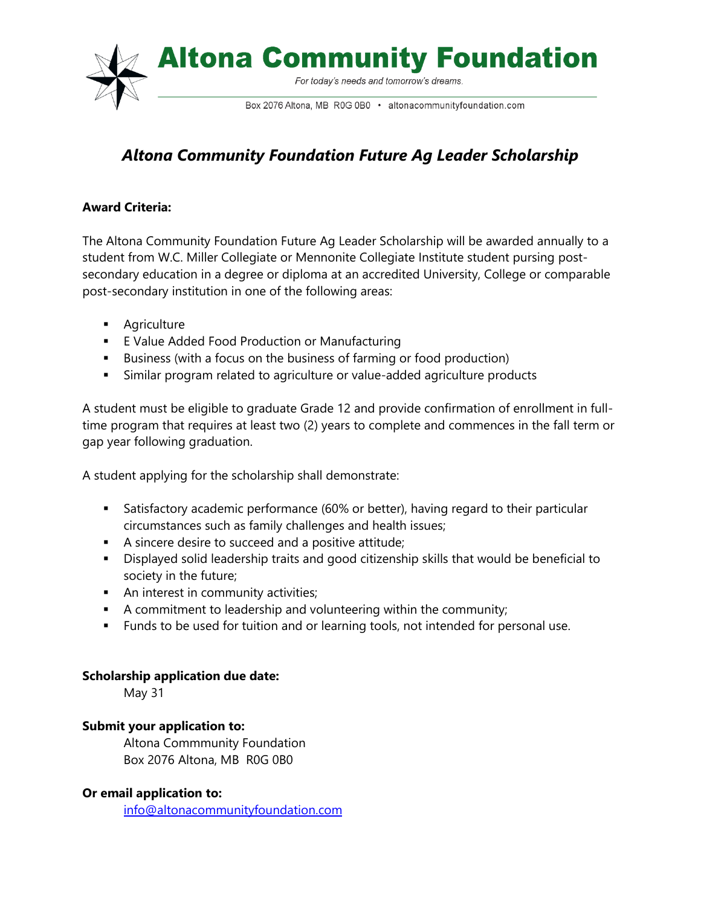

# *Altona Community Foundation Future Ag Leader Scholarship*

## **Award Criteria:**

The Altona Community Foundation Future Ag Leader Scholarship will be awarded annually to a student from W.C. Miller Collegiate or Mennonite Collegiate Institute student pursing postsecondary education in a degree or diploma at an accredited University, College or comparable post-secondary institution in one of the following areas:

- **Agriculture**
- **E** Value Added Food Production or Manufacturing
- Business (with a focus on the business of farming or food production)
- Similar program related to agriculture or value-added agriculture products

A student must be eligible to graduate Grade 12 and provide confirmation of enrollment in fulltime program that requires at least two (2) years to complete and commences in the fall term or gap year following graduation.

A student applying for the scholarship shall demonstrate:

- Satisfactory academic performance (60% or better), having regard to their particular circumstances such as family challenges and health issues;
- A sincere desire to succeed and a positive attitude;
- Displayed solid leadership traits and good citizenship skills that would be beneficial to society in the future;
- An interest in community activities;
- A commitment to leadership and volunteering within the community;
- **Funds to be used for tuition and or learning tools, not intended for personal use.**

## **Scholarship application due date:**

May 31

## **Submit your application to:**

Altona Commmunity Foundation Box 2076 Altona, MB R0G 0B0

## **Or email application to:**

[info@altonacommunityfoundation.com](mailto:info@altonacommunityfoundation.com)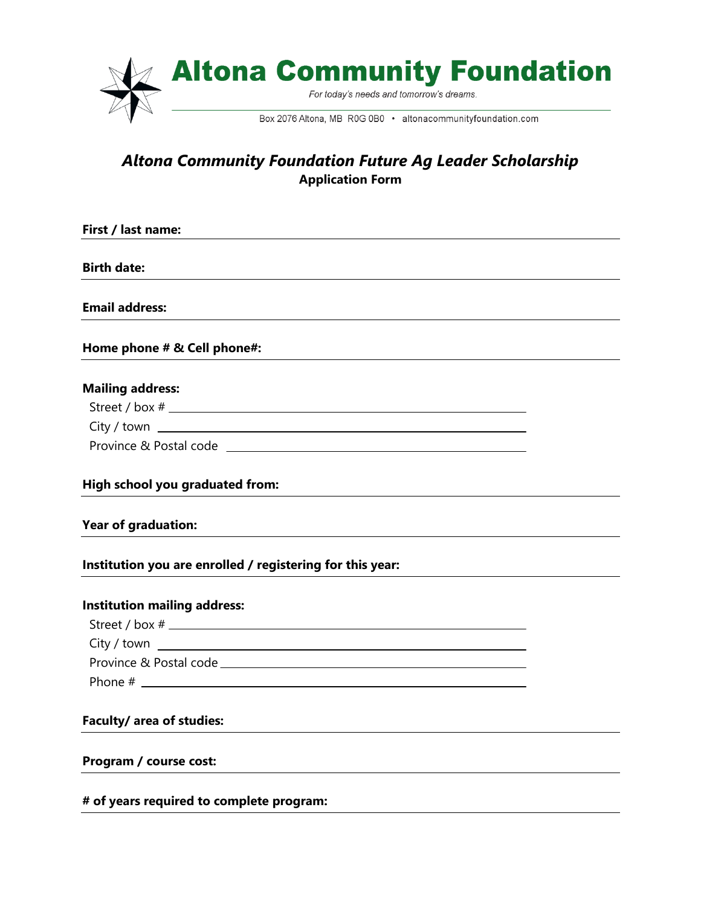

## *Altona Community Foundation Future Ag Leader Scholarship* **Application Form**

| First / last name:                                        |  |
|-----------------------------------------------------------|--|
|                                                           |  |
| <b>Birth date:</b>                                        |  |
| <b>Email address:</b>                                     |  |
|                                                           |  |
| Home phone # & Cell phone#:                               |  |
| <b>Mailing address:</b>                                   |  |
|                                                           |  |
| $City / town$ $\_\_\_\_\_\_\_\_\_\_\_\_\_$                |  |
|                                                           |  |
|                                                           |  |
| High school you graduated from:                           |  |
| <b>Year of graduation:</b>                                |  |
| Institution you are enrolled / registering for this year: |  |
| <b>Institution mailing address:</b>                       |  |
|                                                           |  |
| $City / town$ $\_\_$                                      |  |
|                                                           |  |
|                                                           |  |
| Faculty/ area of studies:                                 |  |
| Program / course cost:                                    |  |
| # of years required to complete program:                  |  |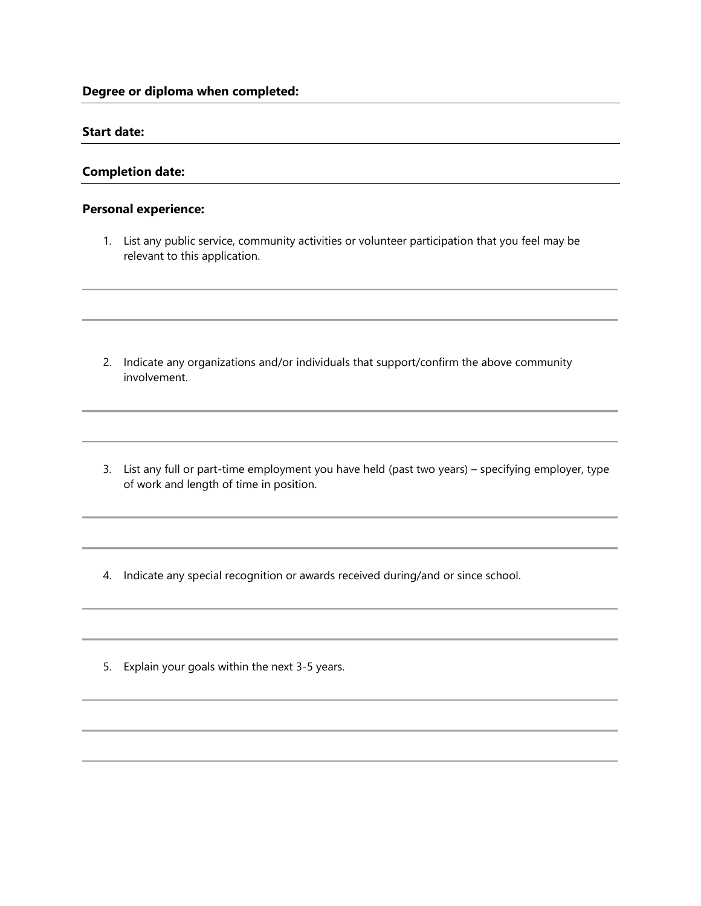**Degree or diploma when completed:**

#### **Start date:**

#### **Completion date:**

#### **Personal experience:**

1. List any public service, community activities or volunteer participation that you feel may be relevant to this application.

- 2. Indicate any organizations and/or individuals that support/confirm the above community involvement.
- 3. List any full or part-time employment you have held (past two years) specifying employer, type of work and length of time in position.
- 4. Indicate any special recognition or awards received during/and or since school.
- 5. Explain your goals within the next 3-5 years.